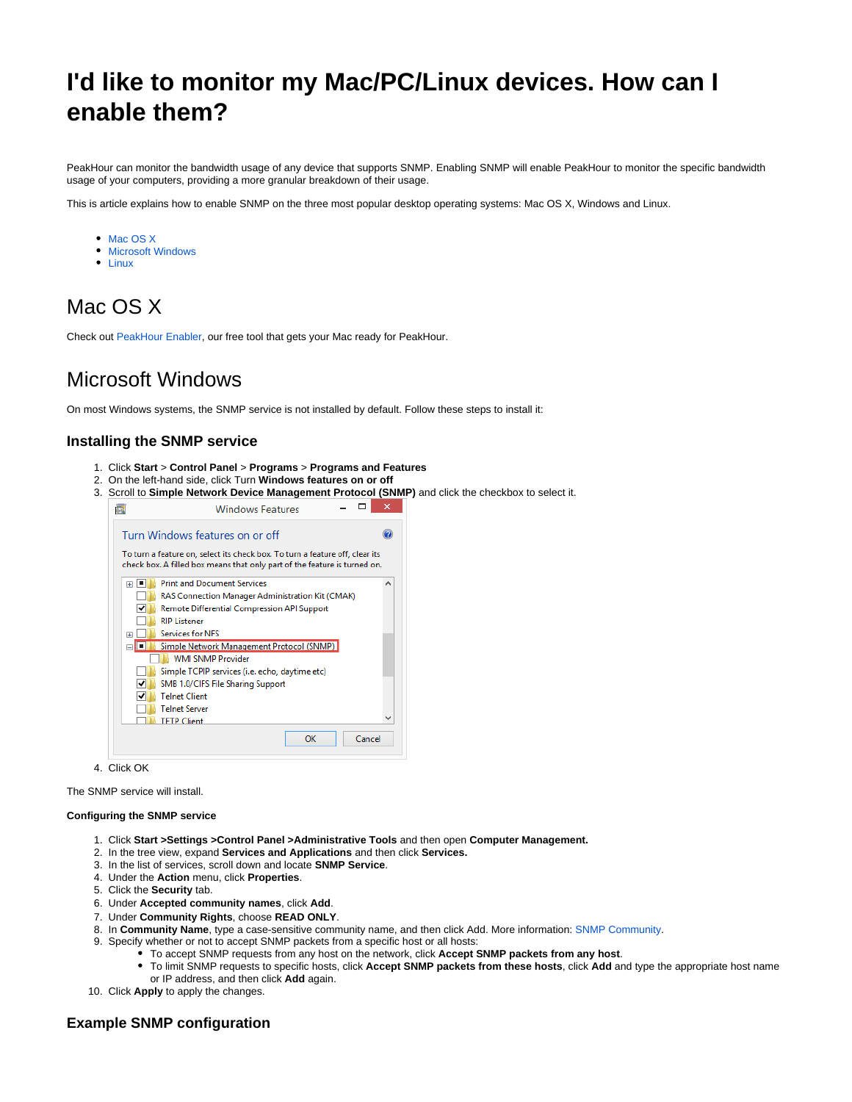# **I'd like to monitor my Mac/PC/Linux devices. How can I enable them?**

PeakHour can monitor the bandwidth usage of any device that supports SNMP. Enabling SNMP will enable PeakHour to monitor the specific bandwidth usage of your computers, providing a more granular breakdown of their usage.

This is article explains how to enable SNMP on the three most popular desktop operating systems: Mac OS X, Windows and Linux.

- [Mac OS X](#page-0-0)
- **[Microsoft Windows](#page-0-1)**
- [Linux](#page-1-0)

## <span id="page-0-0"></span>Mac OS X

Check out [PeakHour Enabler](http://support.peakhourapp.com:8090/display/DOC3/PeakHour+Enabler), our free tool that gets your Mac ready for PeakHour.

### <span id="page-0-1"></span>Microsoft Windows

On most Windows systems, the SNMP service is not installed by default. Follow these steps to install it:

### **Installing the SNMP service**

- 1. Click **Start** > **Control Panel** > **Programs** > **Programs and Features**
- 2. On the left-hand side, click Turn **Windows features on or off**
- 3. Scroll to **Simple Network Device Management Protocol (SNMP)** and click the checkbox to select it.

|                          | Turn Windows features on or off                                                                                                                           |  |  |  |  |  |  |  |
|--------------------------|-----------------------------------------------------------------------------------------------------------------------------------------------------------|--|--|--|--|--|--|--|
|                          | To turn a feature on, select its check box. To turn a feature off, clear its<br>check box. A filled box means that only part of the feature is turned on. |  |  |  |  |  |  |  |
| ▏▆<br>田                  | <b>Print and Document Services</b>                                                                                                                        |  |  |  |  |  |  |  |
|                          | RAS Connection Manager Administration Kit (CMAK)                                                                                                          |  |  |  |  |  |  |  |
|                          | Remote Differential Compression API Support                                                                                                               |  |  |  |  |  |  |  |
|                          | <b>RIP Listener</b>                                                                                                                                       |  |  |  |  |  |  |  |
| 圧                        | <b>Services for NFS</b>                                                                                                                                   |  |  |  |  |  |  |  |
|                          | Simple Network Management Protocol (SNMP)                                                                                                                 |  |  |  |  |  |  |  |
| <b>WMI SNMP Provider</b> |                                                                                                                                                           |  |  |  |  |  |  |  |
|                          | Simple TCPIP services (i.e. echo, daytime etc)                                                                                                            |  |  |  |  |  |  |  |
| ↵                        | SMB 1.0/CIFS File Sharing Support                                                                                                                         |  |  |  |  |  |  |  |
| ↵                        | <b>Telnet Client</b>                                                                                                                                      |  |  |  |  |  |  |  |
|                          | <b>Telnet Server</b>                                                                                                                                      |  |  |  |  |  |  |  |
|                          | <b>TFTP Client</b>                                                                                                                                        |  |  |  |  |  |  |  |
|                          |                                                                                                                                                           |  |  |  |  |  |  |  |

4. Click OK

The SNMP service will install.

#### **Configuring the SNMP service**

- 1. Click **Start >Settings >Control Panel >Administrative Tools** and then open **Computer Management.**
- 2. In the tree view, expand **Services and Applications** and then click **Services.**
- 3. In the list of services, scroll down and locate **SNMP Service**.
- 4. Under the **Action** menu, click **Properties**.
- 5. Click the **Security** tab.
- 6. Under **Accepted community names**, click **Add**.
- 7. Under **Community Rights**, choose **READ ONLY**.
- 8. In **Community Name**, type a case-sensitive community name, and then click Add. More information: [SNMP Community](http://support.peakhourapp.com:8090/display/WIKI3/SNMP+Community).
- 9. Specify whether or not to accept SNMP packets from a specific host or all hosts:
- To accept SNMP requests from any host on the network, click **Accept SNMP packets from any host**.
	- To limit SNMP requests to specific hosts, click **Accept SNMP packets from these hosts**, click **Add** and type the appropriate host name or IP address, and then click **Add** again.
- 10. Click **Apply** to apply the changes.

#### **Example SNMP configuration**